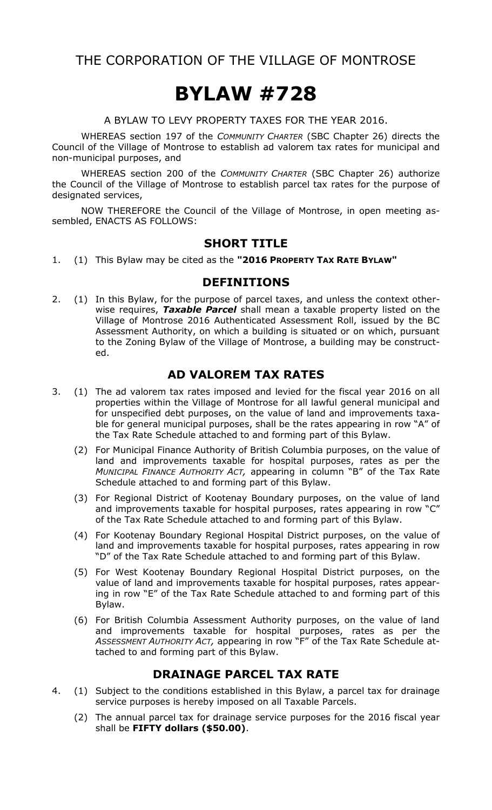THE CORPORATION OF THE VILLAGE OF MONTROSE

# **BYLAW #728**

A BYLAW TO LEVY PROPERTY TAXES FOR THE YEAR 2016.

WHEREAS section 197 of the *COMMUNITY CHARTER* (SBC Chapter 26) directs the Council of the Village of Montrose to establish ad valorem tax rates for municipal and non-municipal purposes, and

WHEREAS section 200 of the *COMMUNITY CHARTER* (SBC Chapter 26) authorize the Council of the Village of Montrose to establish parcel tax rates for the purpose of designated services,

NOW THEREFORE the Council of the Village of Montrose, in open meeting assembled, ENACTS AS FOLLOWS:

## **SHORT TITLE**

1. (1) This Bylaw may be cited as the **"2016 PROPERTY TAX RATE BYLAW"**

#### **DEFINITIONS**

2. (1) In this Bylaw, for the purpose of parcel taxes, and unless the context otherwise requires, *Taxable Parcel* shall mean a taxable property listed on the Village of Montrose 2016 Authenticated Assessment Roll, issued by the BC Assessment Authority, on which a building is situated or on which, pursuant to the Zoning Bylaw of the Village of Montrose, a building may be constructed.

## **AD VALOREM TAX RATES**

- 3. (1) The ad valorem tax rates imposed and levied for the fiscal year 2016 on all properties within the Village of Montrose for all lawful general municipal and for unspecified debt purposes, on the value of land and improvements taxable for general municipal purposes, shall be the rates appearing in row "A" of the Tax Rate Schedule attached to and forming part of this Bylaw.
	- (2) For Municipal Finance Authority of British Columbia purposes, on the value of land and improvements taxable for hospital purposes, rates as per the *MUNICIPAL FINANCE AUTHORITY ACT,* appearing in column "B" of the Tax Rate Schedule attached to and forming part of this Bylaw.
	- (3) For Regional District of Kootenay Boundary purposes, on the value of land and improvements taxable for hospital purposes, rates appearing in row "C" of the Tax Rate Schedule attached to and forming part of this Bylaw.
	- (4) For Kootenay Boundary Regional Hospital District purposes, on the value of land and improvements taxable for hospital purposes, rates appearing in row "D" of the Tax Rate Schedule attached to and forming part of this Bylaw.
	- (5) For West Kootenay Boundary Regional Hospital District purposes, on the value of land and improvements taxable for hospital purposes, rates appearing in row "E" of the Tax Rate Schedule attached to and forming part of this Bylaw.
	- (6) For British Columbia Assessment Authority purposes, on the value of land and improvements taxable for hospital purposes, rates as per the *ASSESSMENT AUTHORITY ACT,* appearing in row "F" of the Tax Rate Schedule attached to and forming part of this Bylaw.

## **DRAINAGE PARCEL TAX RATE**

- 4. (1) Subject to the conditions established in this Bylaw, a parcel tax for drainage service purposes is hereby imposed on all Taxable Parcels.
	- (2) The annual parcel tax for drainage service purposes for the 2016 fiscal year shall be **FIFTY dollars (\$50.00)**.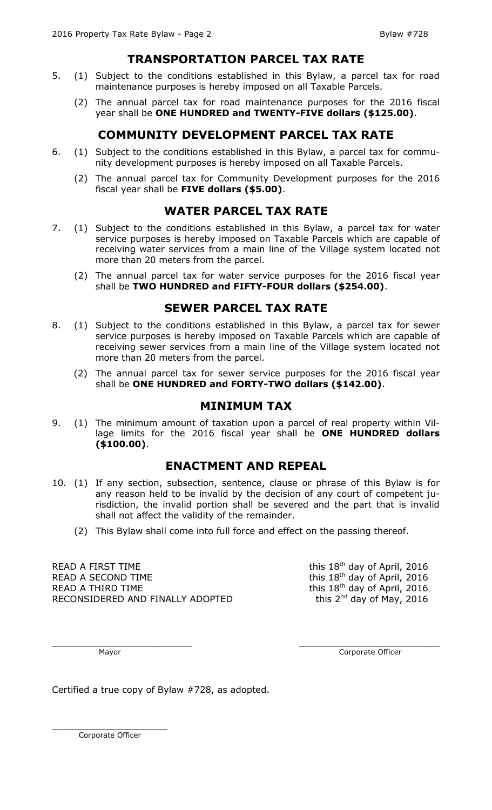# **TRANSPORTATION PARCEL TAX RATE**

- 5. (1) Subject to the conditions established in this Bylaw, a parcel tax for road maintenance purposes is hereby imposed on all Taxable Parcels.
	- (2) The annual parcel tax for road maintenance purposes for the 2016 fiscal year shall be **ONE HUNDRED and TWENTY-FIVE dollars (\$125.00)**.

# **COMMUNITY DEVELOPMENT PARCEL TAX RATE**

- 6. (1) Subject to the conditions established in this Bylaw, a parcel tax for community development purposes is hereby imposed on all Taxable Parcels.
	- (2) The annual parcel tax for Community Development purposes for the 2016 fiscal year shall be **FIVE dollars (\$5.00)**.

# **WATER PARCEL TAX RATE**

- 7. (1) Subject to the conditions established in this Bylaw, a parcel tax for water service purposes is hereby imposed on Taxable Parcels which are capable of receiving water services from a main line of the Village system located not more than 20 meters from the parcel.
	- (2) The annual parcel tax for water service purposes for the 2016 fiscal year shall be **TWO HUNDRED and FIFTY-FOUR dollars (\$254.00)**.

## **SEWER PARCEL TAX RATE**

- 8. (1) Subject to the conditions established in this Bylaw, a parcel tax for sewer service purposes is hereby imposed on Taxable Parcels which are capable of receiving sewer services from a main line of the Village system located not more than 20 meters from the parcel.
	- (2) The annual parcel tax for sewer service purposes for the 2016 fiscal year shall be **ONE HUNDRED and FORTY-TWO dollars (\$142.00)**.

## **MINIMUM TAX**

9. (1) The minimum amount of taxation upon a parcel of real property within Village limits for the 2016 fiscal year shall be **ONE HUNDRED dollars (\$100.00)**.

## **ENACTMENT AND REPEAL**

- 10. (1) If any section, subsection, sentence, clause or phrase of this Bylaw is for any reason held to be invalid by the decision of any court of competent jurisdiction, the invalid portion shall be severed and the part that is invalid shall not affect the validity of the remainder.
	- (2) This Bylaw shall come into full force and effect on the passing thereof.

READ A FIRST TIME  $\sim$  this 18<sup>th</sup> day of April, 2016 READ A SECOND TIME  $\frac{18 \text{ th}}{18 \text{ th}}$  day of April, 2016 READ A THIRD TIME  $\sim$  this 18<sup>th</sup> day of April, 2016 RECONSIDERED AND FINALLY ADOPTED

this  $2^{nd}$  day of May, 2016

 $\_$  , and the contribution of the contribution of  $\_$  . The contribution of  $\_$  ,  $\_$  ,  $\_$  ,  $\_$  ,  $\_$  ,  $\_$  ,  $\_$  ,  $\_$  ,  $\_$  ,  $\_$  ,  $\_$  ,  $\_$  ,  $\_$  ,  $\_$  ,  $\_$  ,  $\_$  ,  $\_$  ,  $\_$  ,  $\_$  ,  $\_$  ,  $\_$  ,  $\_$  ,  $\_$  ,  $\_$  ,

Mayor Corporate Officer

Certified a true copy of Bylaw #728, as adopted.

\_\_\_\_\_\_\_\_\_\_\_\_\_\_\_\_\_\_\_\_\_\_\_\_\_ Corporate Officer